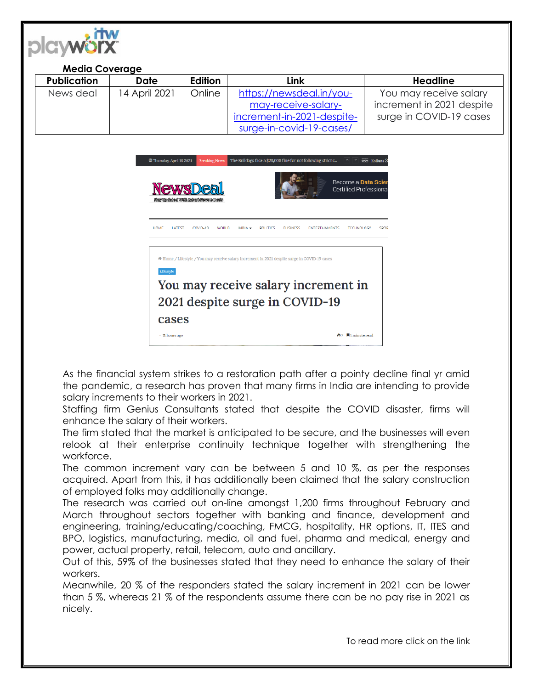| <b>Media Coverage</b> |                |                                                                                                                 |                                                                                               |                           |
|-----------------------|----------------|-----------------------------------------------------------------------------------------------------------------|-----------------------------------------------------------------------------------------------|---------------------------|
| <b>Publication</b>    | <b>Date</b>    | <b>Edition</b>                                                                                                  | Link                                                                                          | <b>Headline</b>           |
| News deal             | 14 April 2021  | Online                                                                                                          | https://newsdeal.in/you-                                                                      | You may receive salary    |
|                       |                |                                                                                                                 | may-receive-salary-                                                                           | increment in 2021 despite |
|                       |                |                                                                                                                 | increment-in-2021-despite-                                                                    | surge in COVID-19 cases   |
|                       |                |                                                                                                                 | surge-in-covid-19-cases/                                                                      |                           |
|                       |                | Origin de Carlo III, la construcción de la construcción de la construcción de la construcción de la construcció |                                                                                               | Certified Professiona     |
|                       | HOME<br>LATEST | COVID-19<br><b>WORLD</b>                                                                                        | INDIA -<br><b>BUSINESS</b><br><b>ENTERTAINMENTS</b><br><b>TECHNOLOGY</b><br><b>POLITICS</b>   | <b>SPOR</b>               |
|                       |                |                                                                                                                 | # Home / Lifestyle / You may receive salary increment in 2021 despite surge in COVID-19 cases |                           |
|                       | Lifestyle      |                                                                                                                 | You may receive salary increment in                                                           |                           |
|                       |                |                                                                                                                 | 2021 despite surge in COVID-19                                                                |                           |
|                       | cases          |                                                                                                                 |                                                                                               |                           |

As the financial system strikes to a restoration path after a pointy decline final yr amid the pandemic, a research has proven that many firms in India are intending to provide salary increments to their workers in 2021.

Staffing firm Genius Consultants stated that despite the COVID disaster, firms will enhance the salary of their workers.

The firm stated that the market is anticipated to be secure, and the businesses will even relook at their enterprise continuity technique together with strengthening the workforce.

The common increment vary can be between 5 and 10 %, as per the responses acquired. Apart from this, it has additionally been claimed that the salary construction of employed folks may additionally change.

The research was carried out on-line amongst 1,200 firms throughout February and March throughout sectors together with banking and finance, development and engineering, training/educating/coaching, FMCG, hospitality, HR options, IT, ITES and BPO, logistics, manufacturing, media, oil and fuel, pharma and medical, energy and power, actual property, retail, telecom, auto and ancillary.

Out of this, 59% of the businesses stated that they need to enhance the salary of their workers.

Meanwhile, 20 % of the responders stated the salary increment in 2021 can be lower than 5 %, whereas 21 % of the respondents assume there can be no pay rise in 2021 as nicely.

To read more click on the link